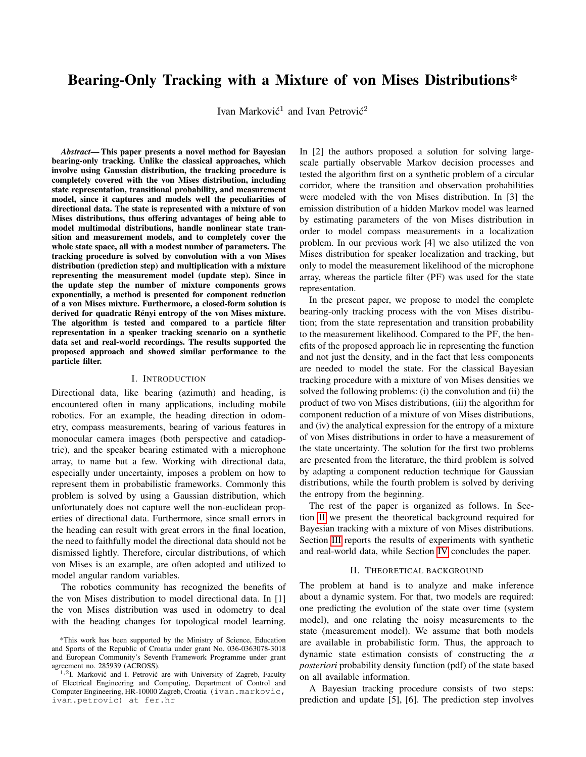# Bearing-Only Tracking with a Mixture of von Mises Distributions\*

Ivan Marković<sup>1</sup> and Ivan Petrović<sup>2</sup>

*Abstract*— This paper presents a novel method for Bayesian bearing-only tracking. Unlike the classical approaches, which involve using Gaussian distribution, the tracking procedure is completely covered with the von Mises distribution, including state representation, transitional probability, and measurement model, since it captures and models well the peculiarities of directional data. The state is represented with a mixture of von Mises distributions, thus offering advantages of being able to model multimodal distributions, handle nonlinear state transition and measurement models, and to completely cover the whole state space, all with a modest number of parameters. The tracking procedure is solved by convolution with a von Mises distribution (prediction step) and multiplication with a mixture representing the measurement model (update step). Since in the update step the number of mixture components grows exponentially, a method is presented for component reduction of a von Mises mixture. Furthermore, a closed-form solution is derived for quadratic Rényi entropy of the von Mises mixture. The algorithm is tested and compared to a particle filter representation in a speaker tracking scenario on a synthetic data set and real-world recordings. The results supported the proposed approach and showed similar performance to the particle filter.

## I. INTRODUCTION

Directional data, like bearing (azimuth) and heading, is encountered often in many applications, including mobile robotics. For an example, the heading direction in odometry, compass measurements, bearing of various features in monocular camera images (both perspective and catadioptric), and the speaker bearing estimated with a microphone array, to name but a few. Working with directional data, especially under uncertainty, imposes a problem on how to represent them in probabilistic frameworks. Commonly this problem is solved by using a Gaussian distribution, which unfortunately does not capture well the non-euclidean properties of directional data. Furthermore, since small errors in the heading can result with great errors in the final location, the need to faithfully model the directional data should not be dismissed lightly. Therefore, circular distributions, of which von Mises is an example, are often adopted and utilized to model angular random variables.

The robotics community has recognized the benefits of the von Mises distribution to model directional data. In [1] the von Mises distribution was used in odometry to deal with the heading changes for topological model learning.

In [2] the authors proposed a solution for solving largescale partially observable Markov decision processes and tested the algorithm first on a synthetic problem of a circular corridor, where the transition and observation probabilities were modeled with the von Mises distribution. In [3] the emission distribution of a hidden Markov model was learned by estimating parameters of the von Mises distribution in order to model compass measurements in a localization problem. In our previous work [4] we also utilized the von Mises distribution for speaker localization and tracking, but only to model the measurement likelihood of the microphone array, whereas the particle filter (PF) was used for the state representation.

In the present paper, we propose to model the complete bearing-only tracking process with the von Mises distribution; from the state representation and transition probability to the measurement likelihood. Compared to the PF, the benefits of the proposed approach lie in representing the function and not just the density, and in the fact that less components are needed to model the state. For the classical Bayesian tracking procedure with a mixture of von Mises densities we solved the following problems: (i) the convolution and (ii) the product of two von Mises distributions, (iii) the algorithm for component reduction of a mixture of von Mises distributions, and (iv) the analytical expression for the entropy of a mixture of von Mises distributions in order to have a measurement of the state uncertainty. The solution for the first two problems are presented from the literature, the third problem is solved by adapting a component reduction technique for Gaussian distributions, while the fourth problem is solved by deriving the entropy from the beginning.

The rest of the paper is organized as follows. In Section [II](#page-0-0) we present the theoretical background required for Bayesian tracking with a mixture of von Mises distributions. Section [III](#page-3-0) reports the results of experiments with synthetic and real-world data, while Section [IV](#page-5-0) concludes the paper.

## II. THEORETICAL BACKGROUND

<span id="page-0-0"></span>The problem at hand is to analyze and make inference about a dynamic system. For that, two models are required: one predicting the evolution of the state over time (system model), and one relating the noisy measurements to the state (measurement model). We assume that both models are available in probabilistic form. Thus, the approach to dynamic state estimation consists of constructing the *a posteriori* probability density function (pdf) of the state based on all available information.

A Bayesian tracking procedure consists of two steps: prediction and update [5], [6]. The prediction step involves

<sup>\*</sup>This work has been supported by the Ministry of Science, Education and Sports of the Republic of Croatia under grant No. 036-0363078-3018 and European Community's Seventh Framework Programme under grant agreement no. 285939 (ACROSS).

<sup>&</sup>lt;sup>1,2</sup>I. Marković and I. Petrović are with University of Zagreb, Faculty of Electrical Engineering and Computing, Department of Control and Computer Engineering, HR-10000 Zagreb, Croatia (ivan.markovic, ivan.petrovic) at fer.hr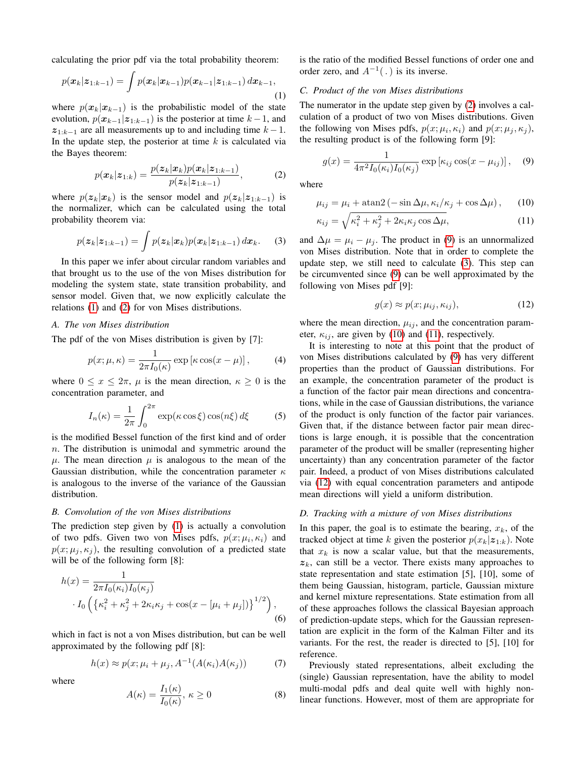calculating the prior pdf via the total probability theorem:

<span id="page-1-0"></span>
$$
p(\mathbf{x}_k|\mathbf{z}_{1:k-1}) = \int p(\mathbf{x}_k|\mathbf{x}_{k-1}) p(\mathbf{x}_{k-1}|\mathbf{z}_{1:k-1}) d\mathbf{x}_{k-1},
$$
\n(1)

where  $p(x_k|x_{k-1})$  is the probabilistic model of the state evolution,  $p(x_{k-1}|z_{1:k-1})$  is the posterior at time  $k-1$ , and  $z_{1:k-1}$  are all measurements up to and including time  $k-1$ . In the update step, the posterior at time  $k$  is calculated via the Bayes theorem:

<span id="page-1-1"></span>
$$
p(\boldsymbol{x}_k|\boldsymbol{z}_{1:k}) = \frac{p(\boldsymbol{z}_k|\boldsymbol{x}_k)p(\boldsymbol{x}_k|\boldsymbol{z}_{1:k-1})}{p(\boldsymbol{z}_k|\boldsymbol{z}_{1:k-1})},
$$
(2)

where  $p(z_k|x_k)$  is the sensor model and  $p(z_k|z_{1:k-1})$  is the normalizer, which can be calculated using the total probability theorem via:

<span id="page-1-3"></span>
$$
p(\boldsymbol{z}_k|\boldsymbol{z}_{1:k-1}) = \int p(\boldsymbol{z}_k|\boldsymbol{x}_k) p(\boldsymbol{x}_k|\boldsymbol{z}_{1:k-1}) d\boldsymbol{x}_k.
$$
 (3)

In this paper we infer about circular random variables and that brought us to the use of the von Mises distribution for modeling the system state, state transition probability, and sensor model. Given that, we now explicitly calculate the relations [\(1\)](#page-1-0) and [\(2\)](#page-1-1) for von Mises distributions.

## *A. The von Mises distribution*

The pdf of the von Mises distribution is given by [7]:

$$
p(x; \mu, \kappa) = \frac{1}{2\pi I_0(\kappa)} \exp\left[\kappa \cos(x - \mu)\right],\tag{4}
$$

where  $0 \le x \le 2\pi$ ,  $\mu$  is the mean direction,  $\kappa \ge 0$  is the concentration parameter, and

<span id="page-1-7"></span>
$$
I_n(\kappa) = \frac{1}{2\pi} \int_0^{2\pi} \exp(\kappa \cos \xi) \cos(n\xi) d\xi \tag{5}
$$

is the modified Bessel function of the first kind and of order n. The distribution is unimodal and symmetric around the  $\mu$ . The mean direction  $\mu$  is analogous to the mean of the Gaussian distribution, while the concentration parameter  $\kappa$ is analogous to the inverse of the variance of the Gaussian distribution.

#### *B. Convolution of the von Mises distributions*

The prediction step given by [\(1\)](#page-1-0) is actually a convolution of two pdfs. Given two von Mises pdfs,  $p(x; \mu_i, \kappa_i)$  and  $p(x; \mu_i, \kappa_i)$ , the resulting convolution of a predicted state will be of the following form [8]:

$$
h(x) = \frac{1}{2\pi I_0(\kappa_i)I_0(\kappa_j)} \cdot I_0\left(\{\kappa_i^2 + \kappa_j^2 + 2\kappa_i\kappa_j + \cos(x - [\mu_i + \mu_j])\}^{1/2}\right),
$$
\n(6)

which in fact is not a von Mises distribution, but can be well approximated by the following pdf [8]:

$$
h(x) \approx p(x; \mu_i + \mu_j, A^{-1}(A(\kappa_i)A(\kappa_j))) \tag{7}
$$

where

$$
A(\kappa) = \frac{I_1(\kappa)}{I_0(\kappa)}, \ \kappa \ge 0 \tag{8}
$$

is the ratio of the modified Bessel functions of order one and order zero, and  $A^{-1}(.)$  is its inverse.

# *C. Product of the von Mises distributions*

The numerator in the update step given by [\(2\)](#page-1-1) involves a calculation of a product of two von Mises distributions. Given the following von Mises pdfs,  $p(x; \mu_i, \kappa_i)$  and  $p(x; \mu_j, \kappa_j)$ , the resulting product is of the following form [9]:

<span id="page-1-2"></span>
$$
g(x) = \frac{1}{4\pi^2 I_0(\kappa_i) I_0(\kappa_j)} \exp\left[\kappa_{ij} \cos(x - \mu_{ij})\right], \quad (9)
$$

where

$$
\mu_{ij} = \mu_i + \operatorname{atan2}(-\sin \Delta \mu, \kappa_i/\kappa_j + \cos \Delta \mu), \qquad (10)
$$

$$
\kappa_{ij} = \sqrt{\kappa_i^2 + \kappa_j^2 + 2\kappa_i \kappa_j \cos \Delta \mu},\tag{11}
$$

and  $\Delta \mu = \mu_i - \mu_j$ . The product in [\(9\)](#page-1-2) is an unnormalized von Mises distribution. Note that in order to complete the update step, we still need to calculate [\(3\)](#page-1-3). This step can be circumvented since [\(9\)](#page-1-2) can be well approximated by the following von Mises pdf [9]:

<span id="page-1-6"></span><span id="page-1-5"></span><span id="page-1-4"></span>
$$
g(x) \approx p(x; \mu_{ij}, \kappa_{ij}), \tag{12}
$$

where the mean direction,  $\mu_{ij}$ , and the concentration parameter,  $\kappa_{ij}$ , are given by [\(10\)](#page-1-4) and [\(11\)](#page-1-5), respectively.

It is interesting to note at this point that the product of von Mises distributions calculated by [\(9\)](#page-1-2) has very different properties than the product of Gaussian distributions. For an example, the concentration parameter of the product is a function of the factor pair mean directions and concentrations, while in the case of Gaussian distributions, the variance of the product is only function of the factor pair variances. Given that, if the distance between factor pair mean directions is large enough, it is possible that the concentration parameter of the product will be smaller (representing higher uncertainty) than any concentration parameter of the factor pair. Indeed, a product of von Mises distributions calculated via [\(12\)](#page-1-6) with equal concentration parameters and antipode mean directions will yield a uniform distribution.

#### *D. Tracking with a mixture of von Mises distributions*

In this paper, the goal is to estimate the bearing,  $x_k$ , of the tracked object at time k given the posterior  $p(x_k|z_{1:k})$ . Note that  $x_k$  is now a scalar value, but that the measurements,  $z_k$ , can still be a vector. There exists many approaches to state representation and state estimation [5], [10], some of them being Gaussian, histogram, particle, Gaussian mixture and kernel mixture representations. State estimation from all of these approaches follows the classical Bayesian approach of prediction-update steps, which for the Gaussian representation are explicit in the form of the Kalman Filter and its variants. For the rest, the reader is directed to [5], [10] for reference.

Previously stated representations, albeit excluding the (single) Gaussian representation, have the ability to model multi-modal pdfs and deal quite well with highly nonlinear functions. However, most of them are appropriate for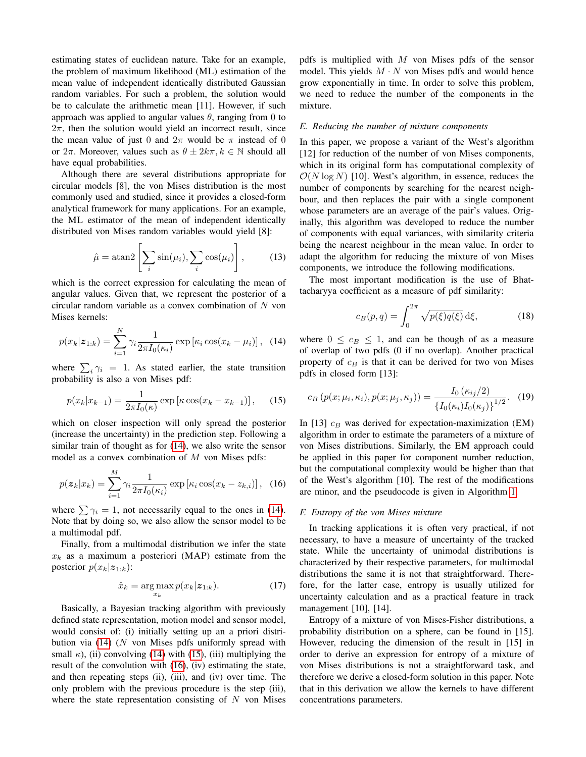estimating states of euclidean nature. Take for an example, the problem of maximum likelihood (ML) estimation of the mean value of independent identically distributed Gaussian random variables. For such a problem, the solution would be to calculate the arithmetic mean [11]. However, if such approach was applied to angular values  $\theta$ , ranging from 0 to  $2\pi$ , then the solution would yield an incorrect result, since the mean value of just 0 and  $2\pi$  would be  $\pi$  instead of 0 or  $2\pi$ . Moreover, values such as  $\theta \pm 2k\pi$ ,  $k \in \mathbb{N}$  should all have equal probabilities.

Although there are several distributions appropriate for circular models [8], the von Mises distribution is the most commonly used and studied, since it provides a closed-form analytical framework for many applications. For an example, the ML estimator of the mean of independent identically distributed von Mises random variables would yield [8]:

$$
\hat{\mu} = \operatorname{atan2}\left[\sum_{i} \sin(\mu_i), \sum_{i} \cos(\mu_i)\right],\tag{13}
$$

which is the correct expression for calculating the mean of angular values. Given that, we represent the posterior of a circular random variable as a convex combination of N von Mises kernels:

<span id="page-2-0"></span>
$$
p(x_k|\mathbf{z}_{1:k}) = \sum_{i=1}^{N} \gamma_i \frac{1}{2\pi I_0(\kappa_i)} \exp\left[\kappa_i \cos(x_k - \mu_i)\right], \quad (14)
$$

where  $\sum_i \gamma_i = 1$ . As stated earlier, the state transition probability is also a von Mises pdf:

<span id="page-2-1"></span>
$$
p(x_k|x_{k-1}) = \frac{1}{2\pi I_0(\kappa)} \exp\left[\kappa \cos(x_k - x_{k-1})\right],\qquad(15)
$$

which on closer inspection will only spread the posterior (increase the uncertainty) in the prediction step. Following a similar train of thought as for [\(14\)](#page-2-0), we also write the sensor model as a convex combination of  $M$  von Mises pdfs:

<span id="page-2-2"></span>
$$
p(\boldsymbol{z}_k | x_k) = \sum_{i=1}^{M} \gamma_i \frac{1}{2\pi I_0(\kappa_i)} \exp\left[\kappa_i \cos(x_k - z_{k,i})\right], \quad (16)
$$

where  $\sum \gamma_i = 1$ , not necessarily equal to the ones in [\(14\)](#page-2-0). Note that by doing so, we also allow the sensor model to be a multimodal pdf.

Finally, from a multimodal distribution we infer the state  $x_k$  as a maximum a posteriori (MAP) estimate from the posterior  $p(x_k|z_{1:k})$ :

$$
\hat{x}_k = \underset{x_k}{\arg \max} p(x_k | \mathbf{z}_{1:k}). \tag{17}
$$

Basically, a Bayesian tracking algorithm with previously defined state representation, motion model and sensor model, would consist of: (i) initially setting up an a priori distribution via  $(14)$  (N von Mises pdfs uniformly spread with small  $\kappa$ ), (ii) convolving [\(14\)](#page-2-0) with [\(15\)](#page-2-1), (iii) multiplying the result of the convolution with [\(16\)](#page-2-2), (iv) estimating the state, and then repeating steps (ii), (iii), and (iv) over time. The only problem with the previous procedure is the step (iii), where the state representation consisting of  $N$  von Mises pdfs is multiplied with  $M$  von Mises pdfs of the sensor model. This yields  $M \cdot N$  von Mises pdfs and would hence grow exponentially in time. In order to solve this problem, we need to reduce the number of the components in the mixture.

### *E. Reducing the number of mixture components*

In this paper, we propose a variant of the West's algorithm [12] for reduction of the number of von Mises components, which in its original form has computational complexity of  $\mathcal{O}(N \log N)$  [10]. West's algorithm, in essence, reduces the number of components by searching for the nearest neighbour, and then replaces the pair with a single component whose parameters are an average of the pair's values. Originally, this algorithm was developed to reduce the number of components with equal variances, with similarity criteria being the nearest neighbour in the mean value. In order to adapt the algorithm for reducing the mixture of von Mises components, we introduce the following modifications.

The most important modification is the use of Bhattacharyya coefficient as a measure of pdf similarity:

$$
c_B(p,q) = \int_0^{2\pi} \sqrt{p(\xi)q(\xi)} \,\mathrm{d}\xi,\tag{18}
$$

where  $0 \leq c_B \leq 1$ , and can be though of as a measure of overlap of two pdfs (0 if no overlap). Another practical property of  $c_B$  is that it can be derived for two von Mises pdfs in closed form [13]:

$$
c_B\left(p(x; \mu_i, \kappa_i), p(x; \mu_j, \kappa_j)\right) = \frac{I_0\left(\kappa_{ij}/2\right)}{\left\{I_0(\kappa_i)I_0(\kappa_j)\right\}^{1/2}}.\tag{19}
$$

In [13]  $c_B$  was derived for expectation-maximization (EM) algorithm in order to estimate the parameters of a mixture of von Mises distributions. Similarly, the EM approach could be applied in this paper for component number reduction, but the computational complexity would be higher than that of the West's algorithm [10]. The rest of the modifications are minor, and the pseudocode is given in Algorithm [1.](#page-3-1)

## *F. Entropy of the von Mises mixture*

In tracking applications it is often very practical, if not necessary, to have a measure of uncertainty of the tracked state. While the uncertainty of unimodal distributions is characterized by their respective parameters, for multimodal distributions the same it is not that straightforward. Therefore, for the latter case, entropy is usually utilized for uncertainty calculation and as a practical feature in track management [10], [14].

Entropy of a mixture of von Mises-Fisher distributions, a probability distribution on a sphere, can be found in [15]. However, reducing the dimension of the result in [15] in order to derive an expression for entropy of a mixture of von Mises distributions is not a straightforward task, and therefore we derive a closed-form solution in this paper. Note that in this derivation we allow the kernels to have different concentrations parameters.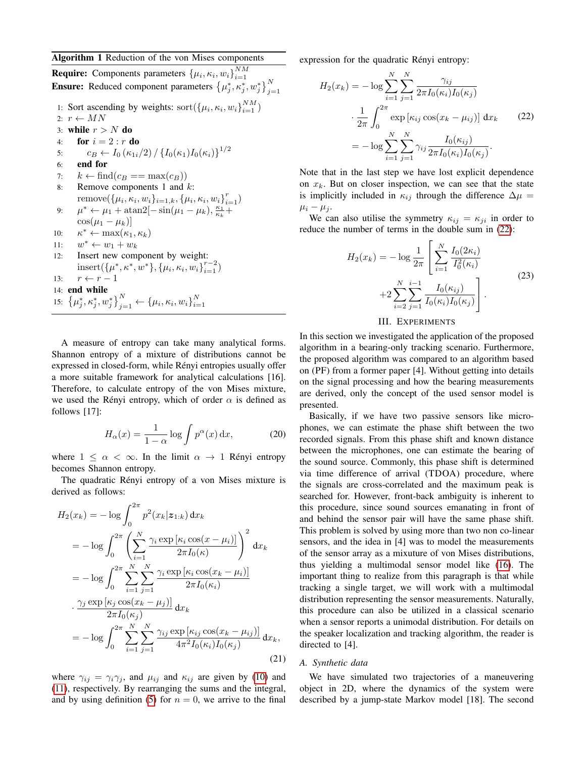## <span id="page-3-1"></span>Algorithm 1 Reduction of the von Mises components

**Require:** Components parameters  $\{\mu_i, \kappa_i, w_i\}_{i=1}^{NM}$ **Ensure:** Reduced component parameters  $\{\mu_j^*, \kappa_j^*, w_j^*\}_{j=1}^N$ 

1: Sort ascending by weights:  $\text{sort}(\{\mu_i, \kappa_i, w_i\}_{i=1}^{NM})$ 2:  $r \leftarrow MN$ 3: while  $r > N$  do 4: for  $i = 2 : r$  do 5:  $c_B \leftarrow I_0 (\kappa_{1i}/2) / \{I_0(\kappa_1)I_0(\kappa_i)\}^{1/2}$ 6: end for 7:  $k \leftarrow \text{find}(c_B == \text{max}(c_B))$ 8: Remove components 1 and  $k$ : remove $({u_i, \kappa_i, w_i}_{i=1,k}, {\mu_i, \kappa_i, w_i}_{i=1}^r)$ 9:  $\mu^* \leftarrow \mu_1 + \text{atan2}[-\sin(\mu_1 - \mu_k), \frac{\kappa_1}{\kappa_k} + \cdots]$  $\cos(\mu_1 - \mu_k)]$ 10:  $\kappa^* \leftarrow \max(\kappa_1, \kappa_k)$ 11: w  $w^* \leftarrow w_1 + w_k$ 12: Insert new component by weight: insert $(\{\mu^*, \kappa^*, w^*\}, \{\mu_i, \kappa_i, w_i\}_{i=1}^{r-2})$ 13:  $r \leftarrow r - 1$ 14: end while 15:  $\{\mu_j^*, \kappa_j^*, w_j^*\}_{j=1}^N \leftarrow {\{\mu_i, \kappa_i, w_i\}}_{i=1}^N$ 

A measure of entropy can take many analytical forms. Shannon entropy of a mixture of distributions cannot be expressed in closed-form, while Rényi entropies usually offer a more suitable framework for analytical calculations [16]. Therefore, to calculate entropy of the von Mises mixture, we used the Rényi entropy, which of order  $\alpha$  is defined as follows [17]:

$$
H_{\alpha}(x) = \frac{1}{1 - \alpha} \log \int p^{\alpha}(x) \, \mathrm{d}x, \tag{20}
$$

where  $1 \leq \alpha < \infty$ . In the limit  $\alpha \to 1$  Rényi entropy becomes Shannon entropy.

The quadratic Rényi entropy of a von Mises mixture is derived as follows:

$$
H_2(x_k) = -\log \int_0^{2\pi} p^2(x_k | \mathbf{z}_{1:k}) dx_k
$$
  
=  $-\log \int_0^{2\pi} \left( \sum_{i=1}^N \frac{\gamma_i \exp[\kappa_i \cos(x - \mu_i)]}{2\pi I_0(\kappa)} \right)^2 dx_k$   
=  $-\log \int_0^{2\pi} \sum_{i=1}^N \sum_{j=1}^N \frac{\gamma_i \exp[\kappa_i \cos(x_k - \mu_i)]}{2\pi I_0(\kappa_i)}$   
 $\cdot \frac{\gamma_j \exp[\kappa_j \cos(x_k - \mu_j)]}{2\pi I_0(\kappa_j)} dx_k$   
=  $-\log \int_0^{2\pi} \sum_{i=1}^N \sum_{j=1}^N \frac{\gamma_{ij} \exp[\kappa_{ij} \cos(x_k - \mu_{ij})]}{4\pi^2 I_0(\kappa_i) I_0(\kappa_j)} dx_k,$ (21)

where  $\gamma_{ij} = \gamma_i \gamma_j$ , and  $\mu_{ij}$  and  $\kappa_{ij}$  are given by [\(10\)](#page-1-4) and [\(11\)](#page-1-5), respectively. By rearranging the sums and the integral, and by using definition [\(5\)](#page-1-7) for  $n = 0$ , we arrive to the final expression for the quadratic Rényi entropy:

<span id="page-3-2"></span>
$$
H_2(x_k) = -\log \sum_{i=1}^{N} \sum_{j=1}^{N} \frac{\gamma_{ij}}{2\pi I_0(\kappa_i) I_0(\kappa_j)}
$$

$$
\frac{1}{2\pi} \int_0^{2\pi} \exp \left[\kappa_{ij} \cos(x_k - \mu_{ij})\right] dx_k \qquad (22)
$$

$$
= -\log \sum_{i=1}^{N} \sum_{j=1}^{N} \gamma_{ij} \frac{I_0(\kappa_{ij})}{2\pi I_0(\kappa_i) I_0(\kappa_j)}.
$$

Note that in the last step we have lost explicit dependence on  $x_k$ . But on closer inspection, we can see that the state is implicitly included in  $\kappa_{ij}$  through the difference  $\Delta \mu =$  $\mu_i - \mu_j$ .

We can also utilise the symmetry  $\kappa_{ij} = \kappa_{ji}$  in order to reduce the number of terms in the double sum in [\(22\)](#page-3-2):

$$
H_2(x_k) = -\log \frac{1}{2\pi} \left[ \sum_{i=1}^N \frac{I_0(2\kappa_i)}{I_0^2(\kappa_i)} + 2 \sum_{i=2}^N \sum_{j=1}^{i-1} \frac{I_0(\kappa_{ij})}{I_0(\kappa_i)I_0(\kappa_j)} \right].
$$
\n(23)

# III. EXPERIMENTS

<span id="page-3-0"></span>In this section we investigated the application of the proposed algorithm in a bearing-only tracking scenario. Furthermore, the proposed algorithm was compared to an algorithm based on (PF) from a former paper [4]. Without getting into details on the signal processing and how the bearing measurements are derived, only the concept of the used sensor model is presented.

Basically, if we have two passive sensors like microphones, we can estimate the phase shift between the two recorded signals. From this phase shift and known distance between the microphones, one can estimate the bearing of the sound source. Commonly, this phase shift is determined via time difference of arrival (TDOA) procedure, where the signals are cross-correlated and the maximum peak is searched for. However, front-back ambiguity is inherent to this procedure, since sound sources emanating in front of and behind the sensor pair will have the same phase shift. This problem is solved by using more than two non co-linear sensors, and the idea in [4] was to model the measurements of the sensor array as a mixuture of von Mises distributions, thus yielding a multimodal sensor model like [\(16\)](#page-2-2). The important thing to realize from this paragraph is that while tracking a single target, we will work with a multimodal distribution representing the sensor measurements. Naturally, this procedure can also be utilized in a classical scenario when a sensor reports a unimodal distribution. For details on the speaker localization and tracking algorithm, the reader is directed to [4].

#### *A. Synthetic data*

We have simulated two trajectories of a maneuvering object in 2D, where the dynamics of the system were described by a jump-state Markov model [18]. The second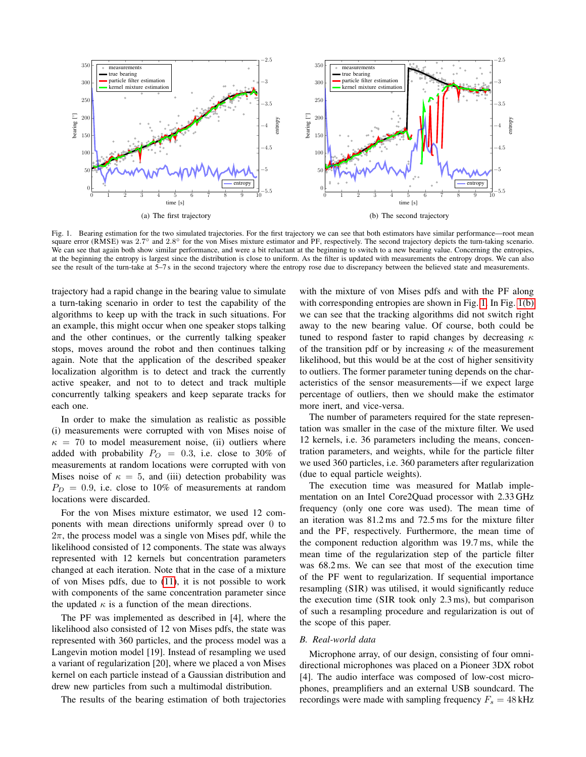

<span id="page-4-0"></span>Fig. 1. Bearing estimation for the two simulated trajectories. For the first trajectory we can see that both estimators have similar performance—root mean square error (RMSE) was 2.7° and 2.8° for the von Mises mixture estimator and PF, respectively. The second trajectory depicts the turn-taking scenario. We can see that again both show similar performance, and were a bit reluctant at the beginning to switch to a new bearing value. Concerning the entropies, at the beginning the entropy is largest since the distribution is close to uniform. As the filter is updated with measurements the entropy drops. We can also see the result of the turn-take at 5–7 s in the second trajectory where the entropy rose due to discrepancy between the believed state and measurements.

trajectory had a rapid change in the bearing value to simulate a turn-taking scenario in order to test the capability of the algorithms to keep up with the track in such situations. For an example, this might occur when one speaker stops talking and the other continues, or the currently talking speaker stops, moves around the robot and then continues talking again. Note that the application of the described speaker localization algorithm is to detect and track the currently active speaker, and not to to detect and track multiple concurrently talking speakers and keep separate tracks for each one.

In order to make the simulation as realistic as possible (i) measurements were corrupted with von Mises noise of  $\kappa = 70$  to model measurement noise, (ii) outliers where added with probability  $P_{\Omega} = 0.3$ , i.e. close to 30% of measurements at random locations were corrupted with von Mises noise of  $\kappa = 5$ , and (iii) detection probability was  $P_D = 0.9$ , i.e. close to 10% of measurements at random locations were discarded.

For the von Mises mixture estimator, we used 12 components with mean directions uniformly spread over 0 to  $2\pi$ , the process model was a single von Mises pdf, while the likelihood consisted of 12 components. The state was always represented with 12 kernels but concentration parameters changed at each iteration. Note that in the case of a mixture of von Mises pdfs, due to [\(11\)](#page-1-5), it is not possible to work with components of the same concentration parameter since the updated  $\kappa$  is a function of the mean directions.

The PF was implemented as described in [4], where the likelihood also consisted of 12 von Mises pdfs, the state was represented with 360 particles, and the process model was a Langevin motion model [19]. Instead of resampling we used a variant of regularization [20], where we placed a von Mises kernel on each particle instead of a Gaussian distribution and drew new particles from such a multimodal distribution.

The results of the bearing estimation of both trajectories

<span id="page-4-1"></span>with the mixture of von Mises pdfs and with the PF along with corresponding entropies are shown in Fig. [1.](#page-4-0) In Fig. [1\(b\)](#page-4-1) we can see that the tracking algorithms did not switch right away to the new bearing value. Of course, both could be tuned to respond faster to rapid changes by decreasing  $\kappa$ of the transition pdf or by increasing  $\kappa$  of the measurement likelihood, but this would be at the cost of higher sensitivity to outliers. The former parameter tuning depends on the characteristics of the sensor measurements—if we expect large percentage of outliers, then we should make the estimator more inert, and vice-versa.

The number of parameters required for the state representation was smaller in the case of the mixture filter. We used 12 kernels, i.e. 36 parameters including the means, concentration parameters, and weights, while for the particle filter we used 360 particles, i.e. 360 parameters after regularization (due to equal particle weights).

The execution time was measured for Matlab implementation on an Intel Core2Quad processor with 2.33 GHz frequency (only one core was used). The mean time of an iteration was 81.2 ms and 72.5 ms for the mixture filter and the PF, respectively. Furthermore, the mean time of the component reduction algorithm was 19.7 ms, while the mean time of the regularization step of the particle filter was 68.2 ms. We can see that most of the execution time of the PF went to regularization. If sequential importance resampling (SIR) was utilised, it would significantly reduce the execution time (SIR took only 2.3 ms), but comparison of such a resampling procedure and regularization is out of the scope of this paper.

## *B. Real-world data*

Microphone array, of our design, consisting of four omnidirectional microphones was placed on a Pioneer 3DX robot [4]. The audio interface was composed of low-cost microphones, preamplifiers and an external USB soundcard. The recordings were made with sampling frequency  $F_s = 48$  kHz